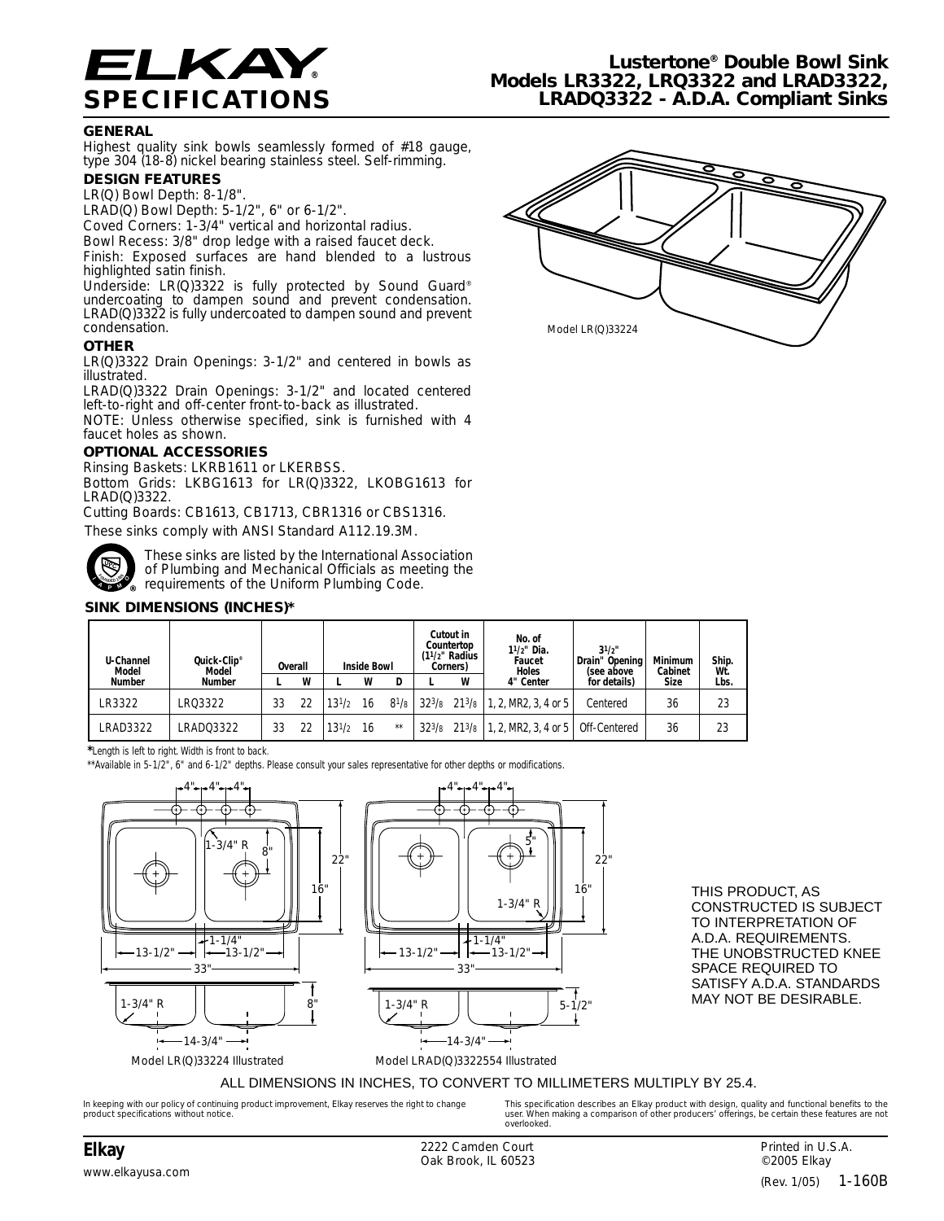

## **GENERAL**

Highest quality sink bowls seamlessly formed of #18 gauge, type 304 (18-8) nickel bearing stainless steel. Self-rimming.

# **DESIGN FEATURES**

LR(Q) Bowl Depth: 8-1/8".

- LRAD(Q) Bowl Depth: 5-1/2", 6" or 6-1/2".
- Coved Corners: 1-3/4" vertical and horizontal radius.

Bowl Recess: 3/8" drop ledge with a raised faucet deck. Finish: Exposed surfaces are hand blended to a lustrous highlighted satin finish.

Underside: LR(Q)3322 is fully protected by Sound Guard® undercoating to dampen sound and prevent condensation. LRAD(Q)3322 is fully undercoated to dampen sound and prevent condensation.

## **OTHER**

LR(Q)3322 Drain Openings: 3-1/2" and centered in bowls as illustrated.

LRAD(Q)3322 Drain Openings: 3-1/2" and located centered left-to-right and off-center front-to-back as illustrated.

NOTE: Unless otherwise specified, sink is furnished with 4 faucet holes as shown.

### **OPTIONAL ACCESSORIES**

Rinsing Baskets: LKRB1611 or LKERBSS.

Bottom Grids: LKBG1613 for LR(Q)3322, LKOBG1613 for LRAD(Q)3322.

Cutting Boards: CB1613, CB1713, CBR1316 or CBS1316. These sinks comply with ANSI Standard A112.19.3M.



These sinks are listed by the International Association of Plumbing and Mechanical Officials as meeting the **A** requirements of the Uniform Plumbing Code.

## **SINK DIMENSIONS (INCHES)\***

| U-Channel<br>Model | Quick-Clip®<br>Model | Overall |   | <b>Inside Bowl</b> |    |           | Cutout in<br>Countertop<br>$(11/2)$ " Radius<br>Corners) |   | No. of<br>11/2" Dia.<br>Faucet<br><b>Holes</b>                                                      | $3^{1/2}$<br>Drain" Opening<br>(see above | <b>Minimum</b><br>Cabinet | Ship.<br>Wt |
|--------------------|----------------------|---------|---|--------------------|----|-----------|----------------------------------------------------------|---|-----------------------------------------------------------------------------------------------------|-------------------------------------------|---------------------------|-------------|
| <b>Number</b>      | <b>Number</b>        |         | W |                    | W  |           |                                                          | W | 4" Center                                                                                           | for details)                              | Size                      | Lbs.        |
| LR3322             | LR03322              | 33      |   | $13^{1/2}$         | 16 | $8^{1}/8$ |                                                          |   | $32^{3}/8$ 21 <sup>3</sup> /8 1, 2, MR2, 3, 4 or 5                                                  | Centered                                  | 36                        | 23          |
| LRAD3322           | LRAD03322            | 33      |   | $13^{1/2}$         | 16 | $***$     |                                                          |   | 32 <sup>3</sup> / <sub>8</sub> 21 <sup>3</sup> / <sub>8</sub>   1, 2, MR2, 3, 4 or 5   Off-Centered |                                           | 36                        | 23          |

**\***Length is left to right. Width is front to back.

\*\*Available in 5-1/2", 6" and 6-1/2" depths. Please consult your sales representative for other depths or modifications.



THIS PRODUCT, AS CONSTRUCTED IS SUBJECT TO INTERPRETATION OF A.D.A. REQUIREMENTS. THE UNOBSTRUCTED KNEE SPACE REQUIRED TO SATISFY A.D.A. STANDARDS MAY NOT BE DESIRABLE.

#### ALL DIMENSIONS IN INCHES, TO CONVERT TO MILLIMETERS MULTIPLY BY 25.4.

*In keeping with our policy of continuing product improvement, Elkay reserves the right to change product specifications without notice.*

*This specification describes an Elkay product with design, quality and functional benefits to the user. When making a comparison of other producers' offerings, be certain these features are not overlooked.*

**Elkay** 2222 Camden Court Oak Brook, IL 60523